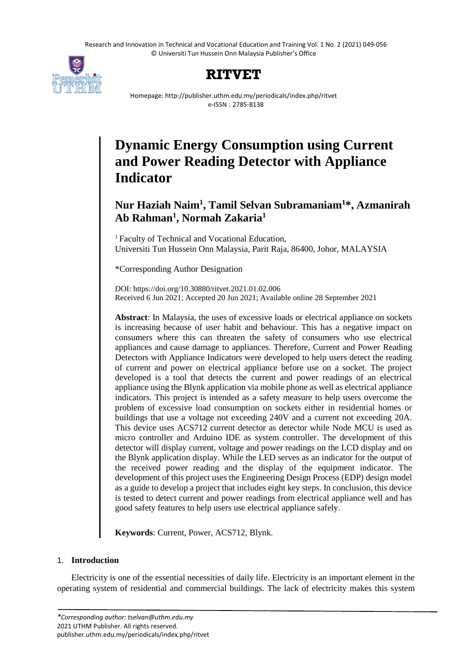Research and Innovation in Technical and Vocational Education and Training Vol. 1 No. 2 (2021) 049-056 © Universiti Tun Hussein Onn Malaysia Publisher's Office



# **RITVET**

Homepage: http://publisher.uthm.edu.my/periodicals/index.php/ritvet e-ISSN : 2785-8138

# **Dynamic Energy Consumption using Current and Power Reading Detector with Appliance Indicator**

# **Nur Haziah Naim<sup>1</sup> , Tamil Selvan Subramaniam<sup>1</sup>\*, Azmanirah Ab Rahman<sup>1</sup> , Normah Zakaria<sup>1</sup>**

<sup>1</sup> Faculty of Technical and Vocational Education, Universiti Tun Hussein Onn Malaysia, Parit Raja, 86400, Johor, MALAYSIA

\*Corresponding Author Designation

DOI: https://doi.org/10.30880/ritvet.2021.01.02.006 Received 6 Jun 2021; Accepted 20 Jun 2021; Available online 28 September 2021

**Abstract**: In Malaysia, the uses of excessive loads or electrical appliance on sockets is increasing because of user habit and behaviour. This has a negative impact on consumers where this can threaten the safety of consumers who use electrical appliances and cause damage to appliances. Therefore, Current and Power Reading Detectors with Appliance Indicators were developed to help users detect the reading of current and power on electrical appliance before use on a socket. The project developed is a tool that detects the current and power readings of an electrical appliance using the Blynk application via mobile phone as well as electrical appliance indicators. This project is intended as a safety measure to help users overcome the problem of excessive load consumption on sockets either in residential homes or buildings that use a voltage not exceeding 240V and a current not exceeding 20A. This device uses ACS712 current detector as detector while Node MCU is used as micro controller and Arduino IDE as system controller. The development of this detector will display current, voltage and power readings on the LCD display and on the Blynk application display. While the LED serves as an indicator for the output of the received power reading and the display of the equipment indicator. The development of this project uses the Engineering Design Process (EDP) design model as a guide to develop a project that includes eight key steps. In conclusion, this device is tested to detect current and power readings from electrical appliance well and has good safety features to help users use electrical appliance safely.

**Keywords**: Current, Power, ACS712, Blynk.

# 1. **Introduction**

Electricity is one of the essential necessities of daily life. Electricity is an important element in the operating system of residential and commercial buildings. The lack of electricity makes this system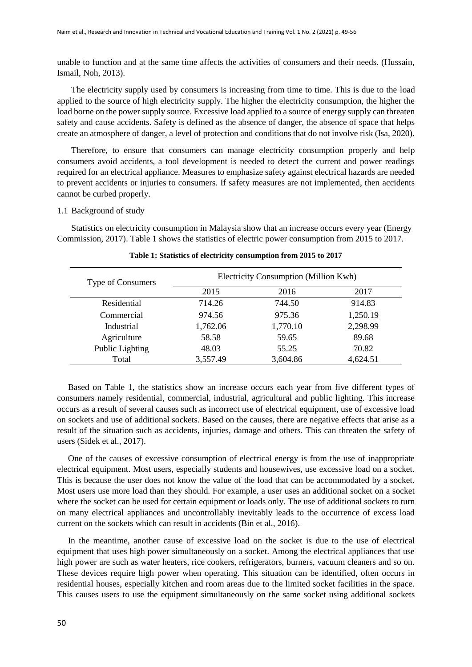unable to function and at the same time affects the activities of consumers and their needs. (Hussain, Ismail, Noh, 2013).

The electricity supply used by consumers is increasing from time to time. This is due to the load applied to the source of high electricity supply. The higher the electricity consumption, the higher the load borne on the power supply source. Excessive load applied to a source of energy supply can threaten safety and cause accidents. Safety is defined as the absence of danger, the absence of space that helps create an atmosphere of danger, a level of protection and conditions that do not involve risk (Isa, 2020).

Therefore, to ensure that consumers can manage electricity consumption properly and help consumers avoid accidents, a tool development is needed to detect the current and power readings required for an electrical appliance. Measures to emphasize safety against electrical hazards are needed to prevent accidents or injuries to consumers. If safety measures are not implemented, then accidents cannot be curbed properly.

#### 1.1 Background of study

Statistics on electricity consumption in Malaysia show that an increase occurs every year (Energy Commission, 2017). Table 1 shows the statistics of electric power consumption from 2015 to 2017.

| Type of Consumers | Electricity Consumption (Million Kwh) |          |          |  |  |
|-------------------|---------------------------------------|----------|----------|--|--|
|                   | 2015                                  | 2016     | 2017     |  |  |
| Residential       | 714.26                                | 744.50   | 914.83   |  |  |
| Commercial        | 974.56                                | 975.36   | 1,250.19 |  |  |
| Industrial        | 1,762.06                              | 1,770.10 | 2,298.99 |  |  |
| Agriculture       | 58.58                                 | 59.65    | 89.68    |  |  |
| Public Lighting   | 48.03                                 | 55.25    | 70.82    |  |  |
| Total             | 3,557.49                              | 3,604.86 | 4,624.51 |  |  |

#### **Table 1: Statistics of electricity consumption from 2015 to 2017**

 Based on Table 1, the statistics show an increase occurs each year from five different types of consumers namely residential, commercial, industrial, agricultural and public lighting. This increase occurs as a result of several causes such as incorrect use of electrical equipment, use of excessive load on sockets and use of additional sockets. Based on the causes, there are negative effects that arise as a result of the situation such as accidents, injuries, damage and others. This can threaten the safety of users (Sidek et al., 2017).

 One of the causes of excessive consumption of electrical energy is from the use of inappropriate electrical equipment. Most users, especially students and housewives, use excessive load on a socket. This is because the user does not know the value of the load that can be accommodated by a socket. Most users use more load than they should. For example, a user uses an additional socket on a socket where the socket can be used for certain equipment or loads only. The use of additional sockets to turn on many electrical appliances and uncontrollably inevitably leads to the occurrence of excess load current on the sockets which can result in accidents (Bin et al., 2016).

 In the meantime, another cause of excessive load on the socket is due to the use of electrical equipment that uses high power simultaneously on a socket. Among the electrical appliances that use high power are such as water heaters, rice cookers, refrigerators, burners, vacuum cleaners and so on. These devices require high power when operating. This situation can be identified, often occurs in residential houses, especially kitchen and room areas due to the limited socket facilities in the space. This causes users to use the equipment simultaneously on the same socket using additional sockets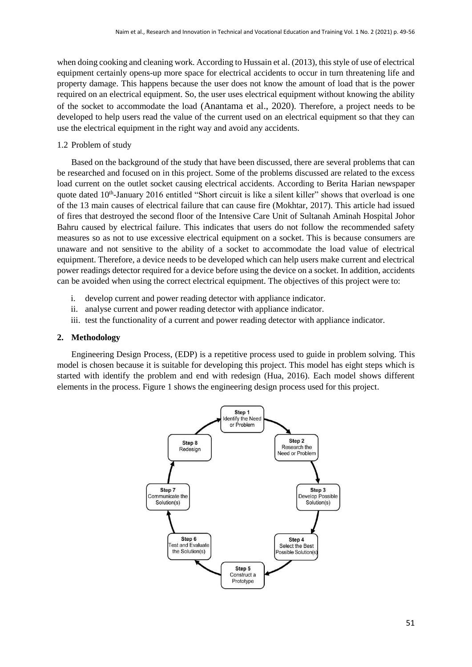when doing cooking and cleaning work. According to Hussain et al. (2013), this style of use of electrical equipment certainly opens-up more space for electrical accidents to occur in turn threatening life and property damage. This happens because the user does not know the amount of load that is the power required on an electrical equipment. So, the user uses electrical equipment without knowing the ability of the socket to accommodate the load (Anantama et al., 2020). Therefore, a project needs to be developed to help users read the value of the current used on an electrical equipment so that they can use the electrical equipment in the right way and avoid any accidents.

### 1.2 Problem of study

Based on the background of the study that have been discussed, there are several problems that can be researched and focused on in this project. Some of the problems discussed are related to the excess load current on the outlet socket causing electrical accidents. According to Berita Harian newspaper quote dated 10<sup>th</sup>-January 2016 entitled "Short circuit is like a silent killer" shows that overload is one of the 13 main causes of electrical failure that can cause fire (Mokhtar, 2017). This article had issued of fires that destroyed the second floor of the Intensive Care Unit of Sultanah Aminah Hospital Johor Bahru caused by electrical failure. This indicates that users do not follow the recommended safety measures so as not to use excessive electrical equipment on a socket. This is because consumers are unaware and not sensitive to the ability of a socket to accommodate the load value of electrical equipment. Therefore, a device needs to be developed which can help users make current and electrical power readings detector required for a device before using the device on a socket. In addition, accidents can be avoided when using the correct electrical equipment. The objectives of this project were to:

- i. develop current and power reading detector with appliance indicator.
- ii. analyse current and power reading detector with appliance indicator.
- iii. test the functionality of a current and power reading detector with appliance indicator.

#### **2. Methodology**

Engineering Design Process, (EDP) is a repetitive process used to guide in problem solving. This model is chosen because it is suitable for developing this project. This model has eight steps which is started with identify the problem and end with redesign (Hua, 2016). Each model shows different elements in the process. Figure 1 shows the engineering design process used for this project.

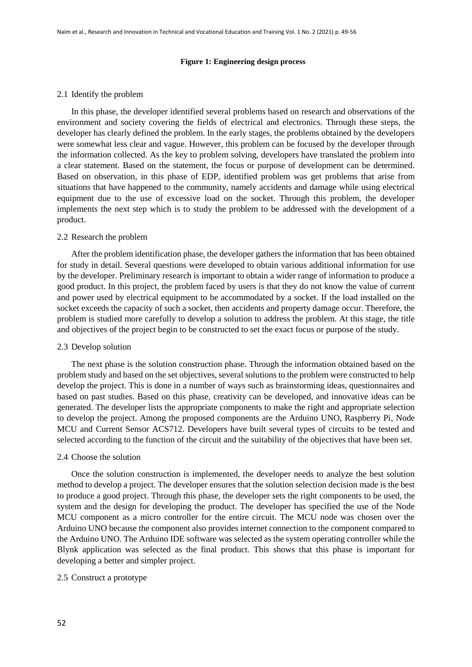#### **Figure 1: Engineering design process**

#### 2.1 Identify the problem

In this phase, the developer identified several problems based on research and observations of the environment and society covering the fields of electrical and electronics. Through these steps, the developer has clearly defined the problem. In the early stages, the problems obtained by the developers were somewhat less clear and vague. However, this problem can be focused by the developer through the information collected. As the key to problem solving, developers have translated the problem into a clear statement. Based on the statement, the focus or purpose of development can be determined. Based on observation, in this phase of EDP, identified problem was get problems that arise from situations that have happened to the community, namely accidents and damage while using electrical equipment due to the use of excessive load on the socket. Through this problem, the developer implements the next step which is to study the problem to be addressed with the development of a product.

#### 2.2 Research the problem

After the problem identification phase, the developer gathers the information that has been obtained for study in detail. Several questions were developed to obtain various additional information for use by the developer. Preliminary research is important to obtain a wider range of information to produce a good product. In this project, the problem faced by users is that they do not know the value of current and power used by electrical equipment to be accommodated by a socket. If the load installed on the socket exceeds the capacity of such a socket, then accidents and property damage occur. Therefore, the problem is studied more carefully to develop a solution to address the problem. At this stage, the title and objectives of the project begin to be constructed to set the exact focus or purpose of the study.

#### 2.3 Develop solution

The next phase is the solution construction phase. Through the information obtained based on the problem study and based on the set objectives, several solutions to the problem were constructed to help develop the project. This is done in a number of ways such as brainstorming ideas, questionnaires and based on past studies. Based on this phase, creativity can be developed, and innovative ideas can be generated. The developer lists the appropriate components to make the right and appropriate selection to develop the project. Among the proposed components are the Arduino UNO, Raspberry Pi, Node MCU and Current Sensor ACS712. Developers have built several types of circuits to be tested and selected according to the function of the circuit and the suitability of the objectives that have been set.

#### 2.4 Choose the solution

Once the solution construction is implemented, the developer needs to analyze the best solution method to develop a project. The developer ensures that the solution selection decision made is the best to produce a good project. Through this phase, the developer sets the right components to be used, the system and the design for developing the product. The developer has specified the use of the Node MCU component as a micro controller for the entire circuit. The MCU node was chosen over the Arduino UNO because the component also provides internet connection to the component compared to the Arduino UNO. The Arduino IDE software was selected as the system operating controller while the Blynk application was selected as the final product. This shows that this phase is important for developing a better and simpler project.

#### 2.5 Construct a prototype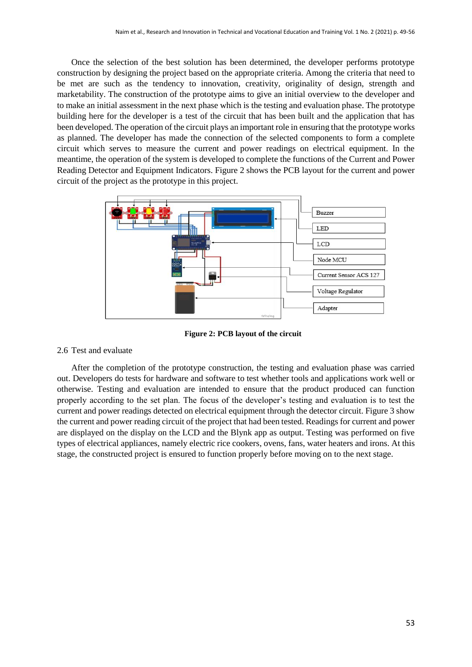Once the selection of the best solution has been determined, the developer performs prototype construction by designing the project based on the appropriate criteria. Among the criteria that need to be met are such as the tendency to innovation, creativity, originality of design, strength and marketability. The construction of the prototype aims to give an initial overview to the developer and to make an initial assessment in the next phase which is the testing and evaluation phase. The prototype building here for the developer is a test of the circuit that has been built and the application that has been developed. The operation of the circuit plays an important role in ensuring that the prototype works as planned. The developer has made the connection of the selected components to form a complete circuit which serves to measure the current and power readings on electrical equipment. In the meantime, the operation of the system is developed to complete the functions of the Current and Power Reading Detector and Equipment Indicators. Figure 2 shows the PCB layout for the current and power circuit of the project as the prototype in this project.



**Figure 2: PCB layout of the circuit**

# 2.6 Test and evaluate

After the completion of the prototype construction, the testing and evaluation phase was carried out. Developers do tests for hardware and software to test whether tools and applications work well or otherwise. Testing and evaluation are intended to ensure that the product produced can function properly according to the set plan. The focus of the developer's testing and evaluation is to test the current and power readings detected on electrical equipment through the detector circuit. Figure 3 show the current and power reading circuit of the project that had been tested. Readings for current and power are displayed on the display on the LCD and the Blynk app as output. Testing was performed on five types of electrical appliances, namely electric rice cookers, ovens, fans, water heaters and irons. At this stage, the constructed project is ensured to function properly before moving on to the next stage.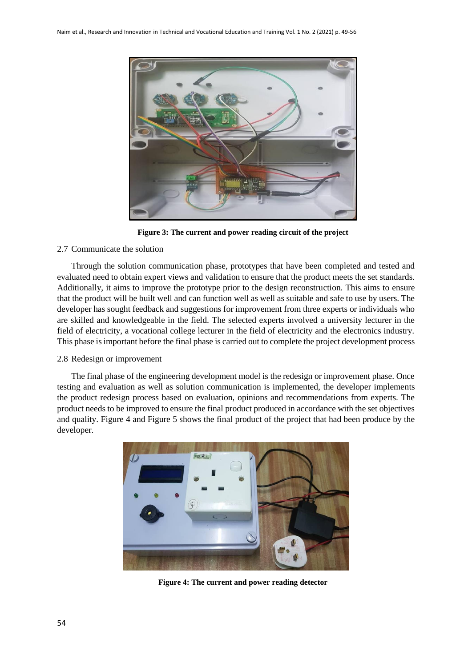

**Figure 3: The current and power reading circuit of the project**

### 2.7 Communicate the solution

Through the solution communication phase, prototypes that have been completed and tested and evaluated need to obtain expert views and validation to ensure that the product meets the set standards. Additionally, it aims to improve the prototype prior to the design reconstruction. This aims to ensure that the product will be built well and can function well as well as suitable and safe to use by users. The developer has sought feedback and suggestions for improvement from three experts or individuals who are skilled and knowledgeable in the field. The selected experts involved a university lecturer in the field of electricity, a vocational college lecturer in the field of electricity and the electronics industry. This phase is important before the final phase is carried out to complete the project development process

#### 2.8 Redesign or improvement

The final phase of the engineering development model is the redesign or improvement phase. Once testing and evaluation as well as solution communication is implemented, the developer implements the product redesign process based on evaluation, opinions and recommendations from experts. The product needs to be improved to ensure the final product produced in accordance with the set objectives and quality. Figure 4 and Figure 5 shows the final product of the project that had been produce by the developer.



**Figure 4: The current and power reading detector**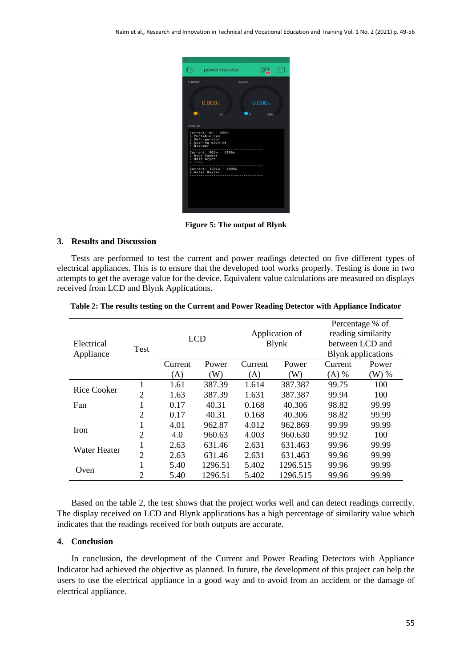| 1 +)<br>power monitor                                              |                               |
|--------------------------------------------------------------------|-------------------------------|
| <b>CURRENT</b><br>POWER                                            |                               |
| 0.000A<br>ن ر<br>100                                               | 0.000.<br>$\bullet$ .<br>5000 |
| <b>TERMINAL</b><br>Current: 0w - 500w<br>1. Portable Fan           |                               |
| 2.Refrigerator<br>3. Washing machine<br>4.Blender                  |                               |
| Current: 501w - 1500w<br>1.Rice Cooker<br>2. Hair Dryer<br>3. Iron |                               |
| Current: 1501w - 3000w<br>1.Water Heater                           |                               |
|                                                                    |                               |
|                                                                    |                               |
|                                                                    |                               |
|                                                                    |                               |

**Figure 5: The output of Blynk**

#### **3. Results and Discussion**

Tests are performed to test the current and power readings detected on five different types of electrical appliances. This is to ensure that the developed tool works properly. Testing is done in two attempts to get the average value for the device. Equivalent value calculations are measured on displays received from LCD and Blynk Applications.

|              |                |            |         |                                 |          |                           | Percentage % of |
|--------------|----------------|------------|---------|---------------------------------|----------|---------------------------|-----------------|
| Electrical   | <b>Test</b>    | <b>LCD</b> |         | Application of<br><b>B</b> lynk |          | reading similarity        |                 |
|              |                |            |         |                                 |          |                           | between LCD and |
| Appliance    |                |            |         |                                 |          | <b>Blynk</b> applications |                 |
|              |                | Current    | Power   | Current                         | Power    | Current                   | Power           |
|              |                | (A)        | (W)     | (A)                             | (W)      | $(A)$ %                   | $(W)$ %         |
| Rice Cooker  | 1              | 1.61       | 387.39  | 1.614                           | 387.387  | 99.75                     | 100             |
|              | $\overline{2}$ | 1.63       | 387.39  | 1.631                           | 387.387  | 99.94                     | 100             |
| Fan          | 1              | 0.17       | 40.31   | 0.168                           | 40.306   | 98.82                     | 99.99           |
|              | $\overline{2}$ | 0.17       | 40.31   | 0.168                           | 40.306   | 98.82                     | 99.99           |
| <b>Iron</b>  | 1              | 4.01       | 962.87  | 4.012                           | 962.869  | 99.99                     | 99.99           |
|              | $\overline{2}$ | 4.0        | 960.63  | 4.003                           | 960.630  | 99.92                     | 100             |
| Water Heater | 1              | 2.63       | 631.46  | 2.631                           | 631.463  | 99.96                     | 99.99           |
|              | $\overline{2}$ | 2.63       | 631.46  | 2.631                           | 631.463  | 99.96                     | 99.99           |
| Oven         | 1              | 5.40       | 1296.51 | 5.402                           | 1296.515 | 99.96                     | 99.99           |
|              | 2              | 5.40       | 1296.51 | 5.402                           | 1296.515 | 99.96                     | 99.99           |

| Table 2: The results testing on the Current and Power Reading Detector with Appliance Indicator |  |  |  |
|-------------------------------------------------------------------------------------------------|--|--|--|
|-------------------------------------------------------------------------------------------------|--|--|--|

Based on the table 2, the test shows that the project works well and can detect readings correctly. The display received on LCD and Blynk applications has a high percentage of similarity value which indicates that the readings received for both outputs are accurate.

#### **4. Conclusion**

In conclusion, the development of the Current and Power Reading Detectors with Appliance Indicator had achieved the objective as planned. In future, the development of this project can help the users to use the electrical appliance in a good way and to avoid from an accident or the damage of electrical appliance.